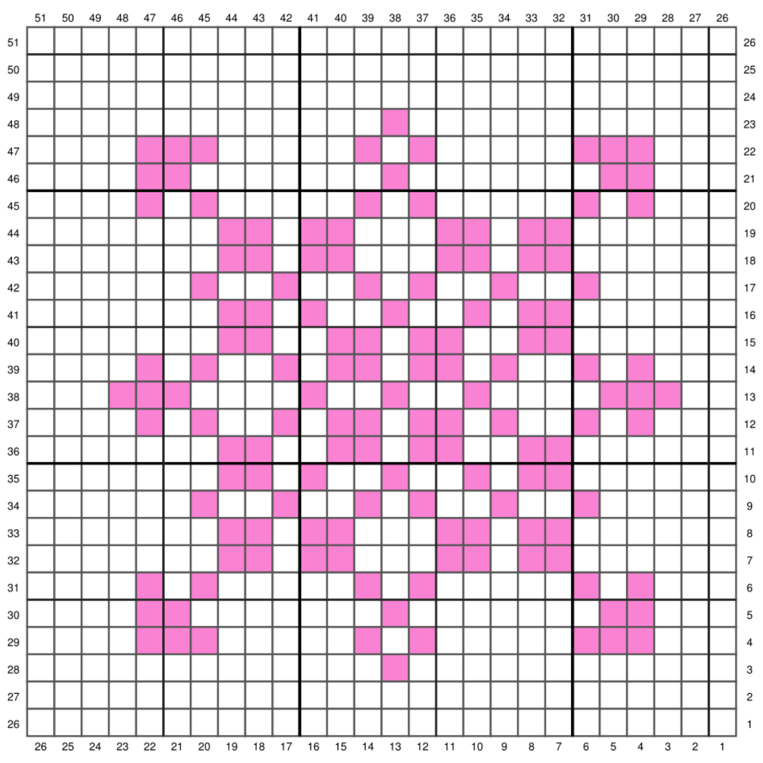|    | 51 | 50 | 49                         | 48 47 46 | 45 |  | 44 43 42 41 40 39 38 |  |                                        | 37 36 35 |  | 34 33 32 31 |   |                 |   | 30          | 29         | 28 | 27 26       |             |             |
|----|----|----|----------------------------|----------|----|--|----------------------|--|----------------------------------------|----------|--|-------------|---|-----------------|---|-------------|------------|----|-------------|-------------|-------------|
| 51 |    |    |                            |          |    |  |                      |  |                                        |          |  |             |   |                 |   |             |            |    |             |             | 26          |
| 50 |    |    |                            |          |    |  |                      |  |                                        |          |  |             |   |                 |   |             |            |    |             |             | 25          |
| 49 |    |    |                            |          |    |  |                      |  |                                        |          |  |             |   |                 |   |             |            |    |             |             | 24          |
| 48 |    |    |                            |          |    |  |                      |  |                                        |          |  |             |   |                 |   |             |            |    |             |             | 23          |
| 47 |    |    |                            |          |    |  |                      |  |                                        |          |  |             |   |                 |   |             |            |    |             |             | 22          |
| 46 |    |    |                            |          |    |  |                      |  |                                        |          |  |             |   |                 |   |             |            |    |             |             | 21          |
| 45 |    |    |                            |          |    |  |                      |  |                                        |          |  |             |   |                 |   |             |            |    |             |             | 20          |
| 44 |    |    |                            |          |    |  |                      |  |                                        |          |  |             |   |                 |   |             |            |    |             |             | 19          |
| 43 |    |    |                            |          |    |  |                      |  |                                        |          |  |             |   |                 |   |             |            |    |             |             | 18          |
| 42 |    |    |                            |          |    |  |                      |  |                                        |          |  |             |   |                 |   |             |            |    |             |             | 17          |
| 41 |    |    |                            |          |    |  |                      |  |                                        |          |  |             |   |                 |   |             |            |    |             |             | 16          |
| 40 |    |    |                            |          |    |  |                      |  |                                        |          |  |             |   |                 |   |             |            |    |             |             | 15          |
| 39 |    |    |                            |          |    |  |                      |  |                                        |          |  |             |   |                 |   |             |            |    |             |             | 14          |
| 38 |    |    |                            |          |    |  |                      |  |                                        |          |  |             |   |                 |   |             |            |    |             |             | 13          |
| 37 |    |    |                            |          |    |  |                      |  |                                        |          |  |             |   |                 |   |             |            |    |             |             | 12          |
| 36 |    |    |                            |          |    |  |                      |  |                                        |          |  |             |   |                 |   |             |            |    |             |             | 11          |
| 35 |    |    |                            |          |    |  |                      |  |                                        |          |  |             |   |                 |   |             |            |    |             |             | 10          |
| 34 |    |    |                            |          |    |  |                      |  |                                        |          |  |             |   |                 |   |             |            |    |             |             | 9           |
| 33 |    |    |                            |          |    |  |                      |  |                                        |          |  |             |   |                 |   |             |            |    |             |             | 8           |
| 32 |    |    |                            |          |    |  |                      |  |                                        |          |  |             |   |                 |   |             |            |    |             |             | 7           |
| 31 |    |    |                            |          |    |  |                      |  |                                        |          |  |             |   |                 |   |             |            |    |             |             | 6           |
| 30 |    |    |                            |          |    |  |                      |  |                                        |          |  |             |   |                 |   |             |            |    |             |             | 5           |
| 29 |    |    |                            |          |    |  |                      |  |                                        |          |  |             |   |                 |   |             |            |    |             |             | 4           |
| 28 |    |    |                            |          |    |  |                      |  |                                        |          |  |             |   |                 |   |             |            |    |             |             | $\,$ 3 $\,$ |
| 27 |    |    |                            |          |    |  |                      |  |                                        |          |  |             |   |                 |   |             |            |    |             |             | 2           |
| 26 |    |    |                            |          |    |  |                      |  |                                        |          |  |             |   |                 |   |             |            |    |             |             |             |
|    |    |    | 26  25  24  23  22  21  20 |          |    |  |                      |  | 19  18  17  16  15  14  13  12  11  10 |          |  | 9           | 8 | $7\overline{ }$ | 6 | $\,$ 5 $\,$ | $\sqrt{4}$ | 3  | $\mathbf 2$ | $\mathbf 1$ |             |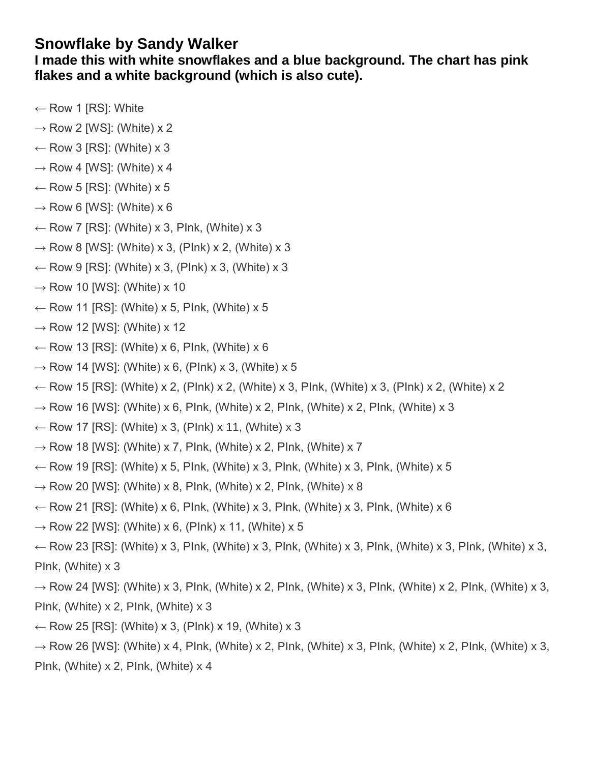## **Snowflake by Sandy Walker**

**I made this with white snowflakes and a blue background. The chart has pink flakes and a white background (which is also cute).** 

- $\leftarrow$  Row 1 [RS]: White
- $\rightarrow$  Row 2 [WS]: (White) x 2
- $\leftarrow$  Row 3 [RS]: (White) x 3
- $\rightarrow$  Row 4 [WS]: (White) x 4
- $\leftarrow$  Row 5 [RS]: (White) x 5
- $\rightarrow$  Row 6 [WS]: (White) x 6
- $\leftarrow$  Row 7 [RS]: (White) x 3, Plnk, (White) x 3
- $\rightarrow$  Row 8 [WS]: (White) x 3, (Plnk) x 2, (White) x 3
- $\leftarrow$  Row 9 [RS]: (White) x 3, (Plnk) x 3, (White) x 3
- $\rightarrow$  Row 10 [WS]: (White) x 10
- $\leftarrow$  Row 11 [RS]: (White) x 5, Plnk, (White) x 5
- $\rightarrow$  Row 12 [WS]: (White) x 12
- $\leftarrow$  Row 13 [RS]: (White) x 6, Plnk, (White) x 6
- $\rightarrow$  Row 14 [WS]: (White) x 6, (Plnk) x 3, (White) x 5
- $\leftarrow$  Row 15 [RS]: (White) x 2, (Plnk) x 2, (White) x 3, Plnk, (White) x 3, (Plnk) x 2, (White) x 2
- $\rightarrow$  Row 16 [WS]: (White) x 6, Plnk, (White) x 2, Plnk, (White) x 2, Plnk, (White) x 3
- $\leftarrow$  Row 17 [RS]: (White) x 3, (Plnk) x 11, (White) x 3
- $\rightarrow$  Row 18 [WS]: (White) x 7, Plnk, (White) x 2, Plnk, (White) x 7
- ← Row 19 [RS]: (White) x 5, Plnk, (White) x 3, Plnk, (White) x 3, Plnk, (White) x 5
- $\rightarrow$  Row 20 [WS]: (White) x 8, Plnk, (White) x 2, Plnk, (White) x 8
- $\leftarrow$  Row 21 [RS]: (White) x 6, Plnk, (White) x 3, Plnk, (White) x 3, Plnk, (White) x 6
- $\rightarrow$  Row 22 [WS]: (White) x 6, (Plnk) x 11, (White) x 5
- $\leftarrow$  Row 23 [RS]: (White) x 3, Plnk, (White) x 3, Plnk, (White) x 3, Plnk, (White) x 3, Plnk, (White) x 3, PInk, (White) x 3
- $\rightarrow$  Row 24 [WS]: (White) x 3, Plnk, (White) x 2, Plnk, (White) x 3, Plnk, (White) x 2, Plnk, (White) x 3, PInk, (White) x 2, PInk, (White) x 3
- $\leftarrow$  Row 25 [RS]: (White) x 3, (Plnk) x 19, (White) x 3
- $\rightarrow$  Row 26 [WS]: (White) x 4, Plnk, (White) x 2, Plnk, (White) x 3, Plnk, (White) x 2, Plnk, (White) x 3, PInk, (White) x 2, PInk, (White) x 4